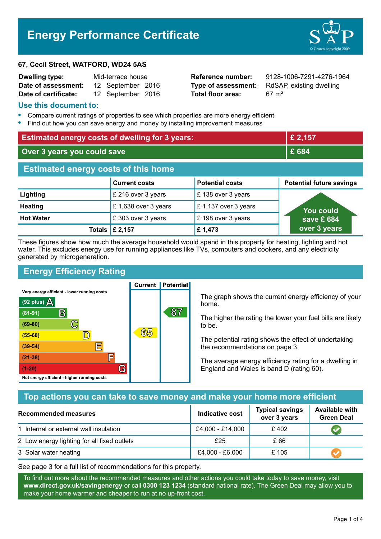# **Energy Performance Certificate**

#### **67, Cecil Street, WATFORD, WD24 5AS**

| <b>Dwelling type:</b> | Mid-terrace house |                   |  |
|-----------------------|-------------------|-------------------|--|
| Date of assessment:   |                   | 12 September 2016 |  |
| Date of certificate:  |                   | 12 September 2016 |  |

**Total floor area:** 67 m<sup>2</sup>

**Reference number:** 9128-1006-7291-4276-1964 **Type of assessment:** RdSAP, existing dwelling

#### **Use this document to:**

- **•** Compare current ratings of properties to see which properties are more energy efficient
- **•** Find out how you can save energy and money by installing improvement measures

| <b>Estimated energy costs of dwelling for 3 years:</b>     |                     |                      | £ 2,157                         |  |
|------------------------------------------------------------|---------------------|----------------------|---------------------------------|--|
| Over 3 years you could save                                |                     | £ 684                |                                 |  |
| <b>Estimated energy costs of this home</b>                 |                     |                      |                                 |  |
| <b>Potential costs</b><br><b>Current costs</b>             |                     |                      | <b>Potential future savings</b> |  |
| Lighting                                                   | £ 216 over 3 years  | $E$ 138 over 3 years |                                 |  |
| <b>Heating</b>                                             | £1,638 over 3 years | £1,137 over 3 years  | <b>You could</b>                |  |
| <b>Hot Water</b><br>£303 over 3 years<br>£198 over 3 years |                     |                      | save £ $684$                    |  |
| £ 2,157<br>£1,473<br>Totals                                |                     |                      | over 3 years                    |  |

These figures show how much the average household would spend in this property for heating, lighting and hot water. This excludes energy use for running appliances like TVs, computers and cookers, and any electricity generated by microgeneration.

**Current | Potential** 

# **Energy Efficiency Rating**

Very energy efficient - lower running costs



The graph shows the current energy efficiency of your home.

The higher the rating the lower your fuel bills are likely to be.

The potential rating shows the effect of undertaking the recommendations on page 3.

The average energy efficiency rating for a dwelling in England and Wales is band D (rating 60).

#### **Top actions you can take to save money and make your home more efficient**

| <b>Recommended measures</b>                 | Indicative cost  | <b>Typical savings</b><br>over 3 years | <b>Available with</b><br><b>Green Deal</b> |
|---------------------------------------------|------------------|----------------------------------------|--------------------------------------------|
| 1 Internal or external wall insulation      | £4,000 - £14,000 | £402                                   |                                            |
| 2 Low energy lighting for all fixed outlets | £25              | £ 66                                   |                                            |
| 3 Solar water heating                       | £4,000 - £6,000  | £ 105                                  |                                            |

See page 3 for a full list of recommendations for this property.

To find out more about the recommended measures and other actions you could take today to save money, visit **www.direct.gov.uk/savingenergy** or call **0300 123 1234** (standard national rate). The Green Deal may allow you to make your home warmer and cheaper to run at no up-front cost.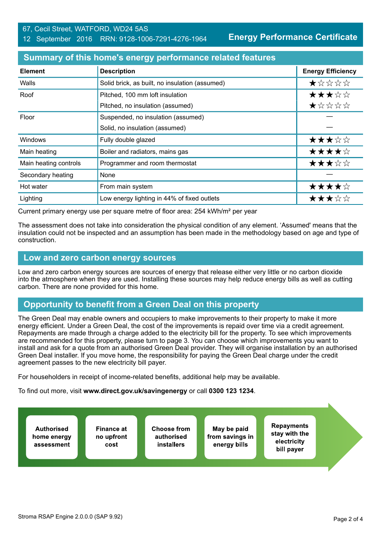#### 67, Cecil Street, WATFORD, WD24 5AS 12 September 2016 RRN: 9128-1006-7291-4276-1964

**Energy Performance Certificate**

#### **Summary of this home's energy performance related features**

| <b>Element</b>        | <b>Description</b>                             | <b>Energy Efficiency</b> |
|-----------------------|------------------------------------------------|--------------------------|
| Walls                 | Solid brick, as built, no insulation (assumed) | ★☆☆☆☆                    |
| Roof                  | Pitched, 100 mm loft insulation                | ★★★☆☆                    |
|                       | Pitched, no insulation (assumed)               | ★☆☆☆☆                    |
| Floor                 | Suspended, no insulation (assumed)             |                          |
|                       | Solid, no insulation (assumed)                 |                          |
| <b>Windows</b>        | Fully double glazed                            | ★★★☆☆                    |
| Main heating          | Boiler and radiators, mains gas                | ★★★★☆                    |
| Main heating controls | Programmer and room thermostat                 | ★★★☆☆                    |
| Secondary heating     | None                                           |                          |
| Hot water             | From main system                               | ★★★★☆                    |
| Lighting              | Low energy lighting in 44% of fixed outlets    | ★★★☆☆                    |

Current primary energy use per square metre of floor area: 254 kWh/m² per year

The assessment does not take into consideration the physical condition of any element. 'Assumed' means that the insulation could not be inspected and an assumption has been made in the methodology based on age and type of construction.

#### **Low and zero carbon energy sources**

Low and zero carbon energy sources are sources of energy that release either very little or no carbon dioxide into the atmosphere when they are used. Installing these sources may help reduce energy bills as well as cutting carbon. There are none provided for this home.

## **Opportunity to benefit from a Green Deal on this property**

The Green Deal may enable owners and occupiers to make improvements to their property to make it more energy efficient. Under a Green Deal, the cost of the improvements is repaid over time via a credit agreement. Repayments are made through a charge added to the electricity bill for the property. To see which improvements are recommended for this property, please turn to page 3. You can choose which improvements you want to install and ask for a quote from an authorised Green Deal provider. They will organise installation by an authorised Green Deal installer. If you move home, the responsibility for paying the Green Deal charge under the credit agreement passes to the new electricity bill payer.

For householders in receipt of income-related benefits, additional help may be available.

To find out more, visit **www.direct.gov.uk/savingenergy** or call **0300 123 1234**.

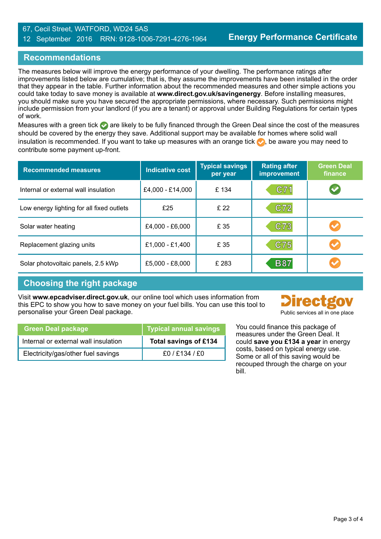#### 67, Cecil Street, WATFORD, WD24 5AS 12 September 2016 RRN: 9128-1006-7291-4276-1964

# **Recommendations**

The measures below will improve the energy performance of your dwelling. The performance ratings after improvements listed below are cumulative; that is, they assume the improvements have been installed in the order that they appear in the table. Further information about the recommended measures and other simple actions you could take today to save money is available at **www.direct.gov.uk/savingenergy**. Before installing measures, you should make sure you have secured the appropriate permissions, where necessary. Such permissions might include permission from your landlord (if you are a tenant) or approval under Building Regulations for certain types of work.

Measures with a green tick are likely to be fully financed through the Green Deal since the cost of the measures should be covered by the energy they save. Additional support may be available for homes where solid wall insulation is recommended. If you want to take up measures with an orange tick  $\bullet$ , be aware you may need to contribute some payment up-front.

| <b>Recommended measures</b>               | <b>Indicative cost</b> | <b>Typical savings</b><br>per year | <b>Rating after</b><br><b>improvement</b> | <b>Green Deal</b><br>finance |
|-------------------------------------------|------------------------|------------------------------------|-------------------------------------------|------------------------------|
| Internal or external wall insulation      | £4,000 - £14,000       | £134                               | C71                                       | V                            |
| Low energy lighting for all fixed outlets | £25                    | £ 22                               | C72                                       |                              |
| Solar water heating                       | £4,000 - £6,000        | £ 35                               | C73                                       |                              |
| Replacement glazing units                 | £1,000 - £1,400        | £ 35                               | C75                                       |                              |
| Solar photovoltaic panels, 2.5 kWp        | £5,000 - £8,000        | £ 283                              | <b>B87</b>                                |                              |

## **Choosing the right package**

Visit **www.epcadviser.direct.gov.uk**, our online tool which uses information from this EPC to show you how to save money on your fuel bills. You can use this tool to personalise your Green Deal package.



|  | Public services all in one place |  |  |  |
|--|----------------------------------|--|--|--|
|  |                                  |  |  |  |

You could finance this package of measures under the Green Deal. It could **save you £134 a year** in energy costs, based on typical energy use. Some or all of this saving would be recouped through the charge on your bill.

| <b>Green Deal package</b>            | Typical annual savings |
|--------------------------------------|------------------------|
| Internal or external wall insulation | Total savings of £134  |
| Electricity/gas/other fuel savings   | f0/F134/F0             |